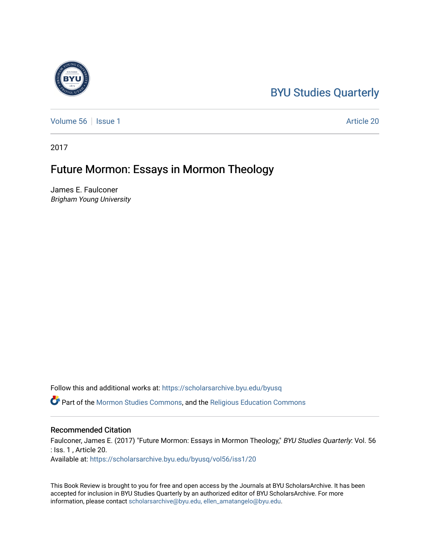## [BYU Studies Quarterly](https://scholarsarchive.byu.edu/byusq)

[Volume 56](https://scholarsarchive.byu.edu/byusq/vol56) | [Issue 1](https://scholarsarchive.byu.edu/byusq/vol56/iss1) Article 20

2017

## Future Mormon: Essays in Mormon Theology

James E. Faulconer Brigham Young University

Follow this and additional works at: [https://scholarsarchive.byu.edu/byusq](https://scholarsarchive.byu.edu/byusq?utm_source=scholarsarchive.byu.edu%2Fbyusq%2Fvol56%2Fiss1%2F20&utm_medium=PDF&utm_campaign=PDFCoverPages) 

Part of the [Mormon Studies Commons](http://network.bepress.com/hgg/discipline/1360?utm_source=scholarsarchive.byu.edu%2Fbyusq%2Fvol56%2Fiss1%2F20&utm_medium=PDF&utm_campaign=PDFCoverPages), and the [Religious Education Commons](http://network.bepress.com/hgg/discipline/1414?utm_source=scholarsarchive.byu.edu%2Fbyusq%2Fvol56%2Fiss1%2F20&utm_medium=PDF&utm_campaign=PDFCoverPages) 

## Recommended Citation

Faulconer, James E. (2017) "Future Mormon: Essays in Mormon Theology," BYU Studies Quarterly: Vol. 56 : Iss. 1 , Article 20. Available at: [https://scholarsarchive.byu.edu/byusq/vol56/iss1/20](https://scholarsarchive.byu.edu/byusq/vol56/iss1/20?utm_source=scholarsarchive.byu.edu%2Fbyusq%2Fvol56%2Fiss1%2F20&utm_medium=PDF&utm_campaign=PDFCoverPages) 

This Book Review is brought to you for free and open access by the Journals at BYU ScholarsArchive. It has been accepted for inclusion in BYU Studies Quarterly by an authorized editor of BYU ScholarsArchive. For more information, please contact [scholarsarchive@byu.edu, ellen\\_amatangelo@byu.edu.](mailto:scholarsarchive@byu.edu,%20ellen_amatangelo@byu.edu)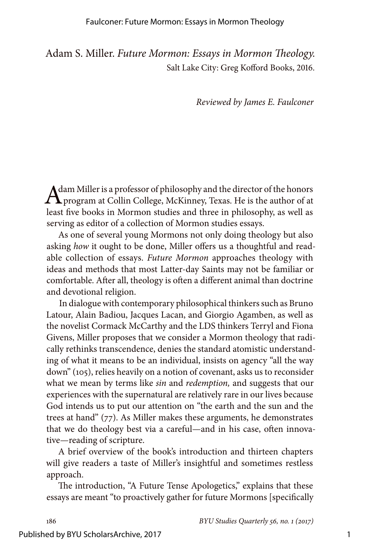Adam S. Miller. *Future Mormon: Essays in Mormon Theology.* Salt Lake City: Greg Kofford Books, 2016.

*Reviewed by James E. Faulconer*

Adam Miller is a professor of philosophy and the director of the honors<br>program at Collin College, McKinney, Texas. He is the author of at least five books in Mormon studies and three in philosophy, as well as serving as editor of a collection of Mormon studies essays.

As one of several young Mormons not only doing theology but also asking *how* it ought to be done, Miller offers us a thoughtful and readable collection of essays. *Future Mormon* approaches theology with ideas and methods that most Latter-day Saints may not be familiar or comfortable. After all, theology is often a different animal than doctrine and devotional religion.

In dialogue with contemporary philosophical thinkers such as Bruno Latour, Alain Badiou, Jacques Lacan, and Giorgio Agamben, as well as the novelist Cormack McCarthy and the LDS thinkers Terryl and Fiona Givens, Miller proposes that we consider a Mormon theology that radically rethinks transcendence, denies the standard atomistic understanding of what it means to be an individual, insists on agency "all the way down" (105), relies heavily on a notion of covenant, asks us to reconsider what we mean by terms like *sin* and *redemption,* and suggests that our experiences with the supernatural are relatively rare in our lives because God intends us to put our attention on "the earth and the sun and the trees at hand" (77). As Miller makes these arguments, he demonstrates that we do theology best via a careful—and in his case, often innovative—reading of scripture.

A brief overview of the book's introduction and thirteen chapters will give readers a taste of Miller's insightful and sometimes restless approach.

The introduction, "A Future Tense Apologetics," explains that these essays are meant "to proactively gather for future Mormons [specifically

186 *BYU Studies Quarterly 56, no. 1 (2017)*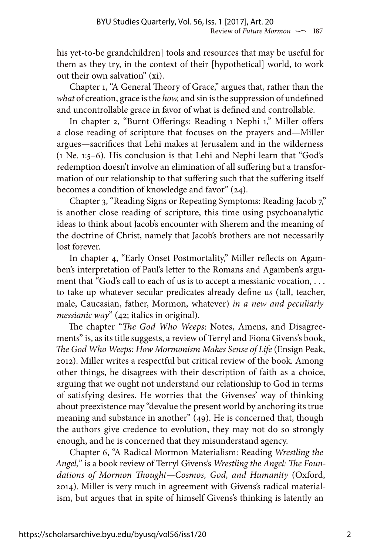his yet-to-be grandchildren] tools and resources that may be useful for them as they try, in the context of their [hypothetical] world, to work out their own salvation" (xi).

Chapter 1, "A General Theory of Grace," argues that, rather than the *what* of creation, grace is the *how,* and sin is the suppression of undefined and uncontrollable grace in favor of what is defined and controllable.

In chapter 2, "Burnt Offerings: Reading 1 Nephi 1," Miller offers a close reading of scripture that focuses on the prayers and—Miller argues—sacrifices that Lehi makes at Jerusalem and in the wilderness (1 Ne. 1:5–6). His conclusion is that Lehi and Nephi learn that "God's redemption doesn't involve an elimination of all suffering but a transformation of our relationship to that suffering such that the suffering itself becomes a condition of knowledge and favor" (24).

Chapter 3, "Reading Signs or Repeating Symptoms: Reading Jacob 7," is another close reading of scripture, this time using psychoanalytic ideas to think about Jacob's encounter with Sherem and the meaning of the doctrine of Christ, namely that Jacob's brothers are not necessarily lost forever.

In chapter 4, "Early Onset Postmortality," Miller reflects on Agamben's interpretation of Paul's letter to the Romans and Agamben's argument that "God's call to each of us is to accept a messianic vocation, ... to take up whatever secular predicates already define us (tall, teacher, male, Caucasian, father, Mormon, whatever) *in a new and peculiarly messianic way*" (42; italics in original).

The chapter "*The God Who Weeps*: Notes, Amens, and Disagreements" is, as its title suggests, a review of Terryl and Fiona Givens's book, *The God Who Weeps: How Mormonism Makes Sense of Life* (Ensign Peak, 2012). Miller writes a respectful but critical review of the book. Among other things, he disagrees with their description of faith as a choice, arguing that we ought not understand our relationship to God in terms of satisfying desires. He worries that the Givenses' way of thinking about preexistence may "devalue the present world by anchoring its true meaning and substance in another" (49). He is concerned that, though the authors give credence to evolution, they may not do so strongly enough, and he is concerned that they misunderstand agency.

Chapter 6, "A Radical Mormon Materialism: Reading *Wrestling the Angel,*" is a book review of Terryl Givens's *Wrestling the Angel: The Foundations of Mormon Thought—Cosmos, God, and Humanity* (Oxford, 2014). Miller is very much in agreement with Givens's radical materialism, but argues that in spite of himself Givens's thinking is latently an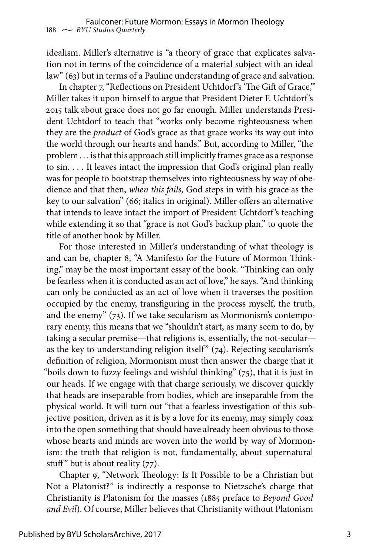idealism. Miller's alternative is "a theory of grace that explicates salvation not in terms of the coincidence of a material subject with an ideal law" (63) but in terms of a Pauline understanding of grace and salvation.

In chapter 7, "Reflections on President Uchtdorf's 'The Gift of Grace," Miller takes it upon himself to argue that President Dieter F. Uchtdorf 's 2015 talk about grace does not go far enough. Miller understands President Uchtdorf to teach that "works only become righteousness when they are the *product* of God's grace as that grace works its way out into the world through our hearts and hands." But, according to Miller, "the problem . . . is that this approach still implicitly frames grace as a response to sin. . . . It leaves intact the impression that God's original plan really was for people to bootstrap themselves into righteousness by way of obedience and that then, *when this fails,* God steps in with his grace as the key to our salvation" (66; italics in original). Miller offers an alternative that intends to leave intact the import of President Uchtdorf 's teaching while extending it so that "grace is not God's backup plan," to quote the title of another book by Miller.

For those interested in Miller's understanding of what theology is and can be, chapter 8, "A Manifesto for the Future of Mormon Thinking," may be the most important essay of the book. "Thinking can only be fearless when it is conducted as an act of love," he says. "And thinking can only be conducted as an act of love when it traverses the position occupied by the enemy, transfiguring in the process myself, the truth, and the enemy" (73). If we take secularism as Mormonism's contemporary enemy, this means that we "shouldn't start, as many seem to do, by taking a secular premise—that religions is, essentially, the not-secular as the key to understanding religion itself"  $(74)$ . Rejecting secularism's definition of religion, Mormonism must then answer the charge that it "boils down to fuzzy feelings and wishful thinking"  $(75)$ , that it is just in our heads. If we engage with that charge seriously, we discover quickly that heads are inseparable from bodies, which are inseparable from the physical world. It will turn out "that a fearless investigation of this subjective position, driven as it is by a love for its enemy, may simply coax into the open something that should have already been obvious to those whose hearts and minds are woven into the world by way of Mormonism: the truth that religion is not, fundamentally, about supernatural stuff" but is about reality  $(77)$ .

Chapter 9, "Network Theology: Is It Possible to be a Christian but Not a Platonist?" is indirectly a response to Nietzsche's charge that Christianity is Platonism for the masses (1885 preface to *Beyond Good and Evil*). Of course, Miller believes that Christianity without Platonism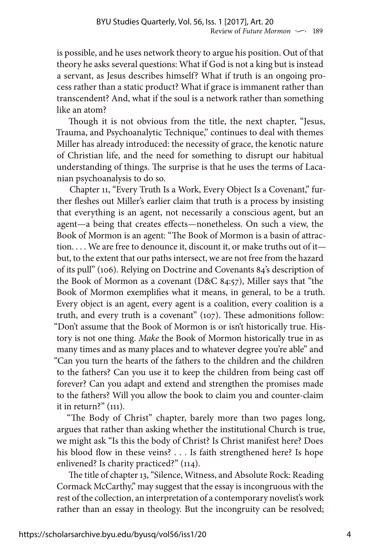is possible, and he uses network theory to argue his position. Out of that theory he asks several questions: What if God is not a king but is instead a servant, as Jesus describes himself? What if truth is an ongoing process rather than a static product? What if grace is immanent rather than transcendent? And, what if the soul is a network rather than something like an atom?

Though it is not obvious from the title, the next chapter, "Jesus, Trauma, and Psychoanalytic Technique," continues to deal with themes Miller has already introduced: the necessity of grace, the kenotic nature of Christian life, and the need for something to disrupt our habitual understanding of things. The surprise is that he uses the terms of Lacanian psychoanalysis to do so.

Chapter 11, "Every Truth Is a Work, Every Object Is a Covenant," further fleshes out Miller's earlier claim that truth is a process by insisting that everything is an agent, not necessarily a conscious agent, but an agent—a being that creates effects—nonetheless. On such a view, the Book of Mormon is an agent: "The Book of Mormon is a basin of attraction. . . . We are free to denounce it, discount it, or make truths out of it but, to the extent that our paths intersect, we are not free from the hazard of its pull" (106). Relying on Doctrine and Covenants 84's description of the Book of Mormon as a covenant (D&C 84:57), Miller says that "the Book of Mormon exemplifies what it means, in general, to be a truth. Every object is an agent, every agent is a coalition, every coalition is a truth, and every truth is a covenant" (107). These admonitions follow: "Don't assume that the Book of Mormon is or isn't historically true. History is not one thing. *Make* the Book of Mormon historically true in as many times and as many places and to whatever degree you're able" and "Can you turn the hearts of the fathers to the children and the children to the fathers? Can you use it to keep the children from being cast off forever? Can you adapt and extend and strengthen the promises made to the fathers? Will you allow the book to claim you and counter-claim it in return?" (111).

"The Body of Christ" chapter, barely more than two pages long, argues that rather than asking whether the institutional Church is true, we might ask "Is this the body of Christ? Is Christ manifest here? Does his blood flow in these veins? . . . Is faith strengthened here? Is hope enlivened? Is charity practiced?" (114).

The title of chapter 13, "Silence, Witness, and Absolute Rock: Reading Cormack McCarthy," may suggest that the essay is incongruous with the rest of the collection, an interpretation of a contemporary novelist's work rather than an essay in theology. But the incongruity can be resolved;